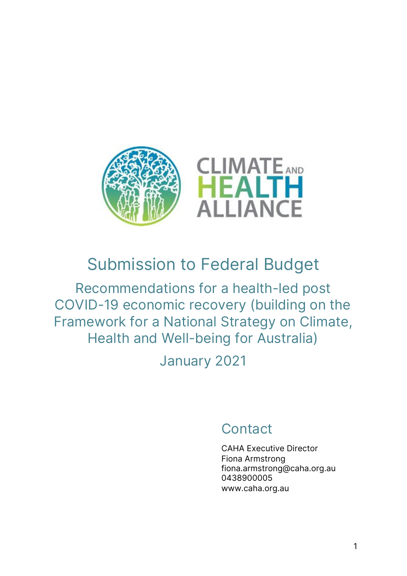

# Submission to Federal Budget

Recommendations for a health-led post COVID-19 economic recovery (building on the Framework for a National Strategy on Climate, Health and Well-being for Australia)

January 2021

## **Contact**

CAHA Executive Director Fiona Armstrong fiona.armstrong@caha.org.au 0438900005 www.caha.org.au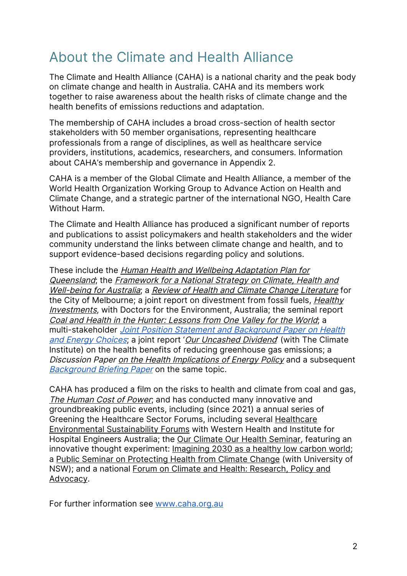## About the Climate and Health Alliance

The Climate and Health Alliance (CAHA) is a national charity and the peak body on climate change and health in Australia. CAHA and its members work together to raise awareness about the health risks of climate change and the health benefits of emissions reductions and adaptation.

The membership of CAHA includes a broad cross-section of health sector stakeholders with 50 member organisations, representing healthcare professionals from a range of disciplines, as well as healthcare service providers, institutions, academics, researchers, and consumers. Information about CAHA's membership and governance in Appendix 2.

CAHA is a member of the Global Climate and Health Alliance, a member of the World Health Organization Working Group to Advance Action on Health and Climate Change, and a strategic partner of the international NGO, Health Care Without Harm.

The Climate and Health Alliance has produced a significant number of reports and publications to assist policymakers and health stakeholders and the wider community understand the links between climate change and health, and to support evidence-based decisions regarding policy and solutions.

These include the Human Health and Wellbeing Adaptation Plan for Queensland; the Framework for a National Strategy on Climate, Health and Well-being for Australia; a Review of Health and Climate Change Literature for the City of Melbourne; a joint report on divestment from fossil fuels, Healthy **Investments**, with Doctors for the Environment, Australia; the seminal report Coal and Health in the Hunter: Lessons from One Valley for the World; a multi-stakeholder Joint Position Statement and Background Paper on Health and Energy Choices; a joint report 'Our Uncashed Dividend' (with The Climate Institute) on the health benefits of reducing greenhouse gas emissions; a Discussion Paper on the Health Implications of Energy Policy and a subsequent **Background Briefing Paper on the same topic.** 

CAHA has produced a film on the risks to health and climate from coal and gas, The Human Cost of Power; and has conducted many innovative and groundbreaking public events, including (since 2021) a annual series of Greening the Healthcare Sector Forums, including several Healthcare Environmental Sustainability Forums with Western Health and Institute for Hospital Engineers Australia; the Our Climate Our Health Seminar, featuring an innovative thought experiment: Imagining 2030 as a healthy low carbon world; a Public Seminar on Protecting Health from Climate Change (with University of NSW); and a national Forum on Climate and Health: Research, Policy and Advocacy.

For further information see www.caha.org.au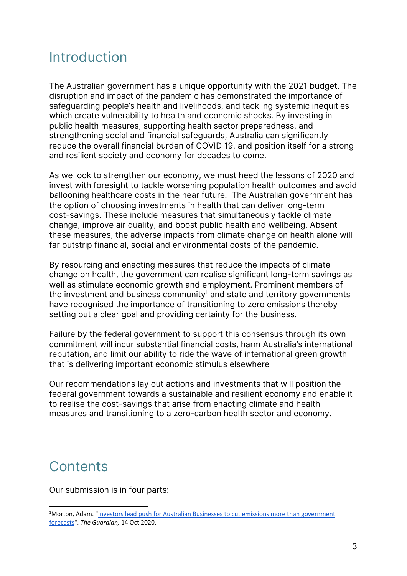### Introduction

The Australian government has a unique opportunity with the 2021 budget. The disruption and impact of the pandemic has demonstrated the importance of safeguarding people's health and livelihoods, and tackling systemic inequities which create vulnerability to health and economic shocks. By investing in public health measures, supporting health sector preparedness, and strengthening social and financial safeguards, Australia can significantly reduce the overall financial burden of COVID 19, and position itself for a strong and resilient society and economy for decades to come.

As we look to strengthen our economy, we must heed the lessons of 2020 and invest with foresight to tackle worsening population health outcomes and avoid ballooning healthcare costs in the near future. The Australian government has the option of choosing investments in health that can deliver long-term cost-savings. These include measures that simultaneously tackle climate change, improve air quality, and boost public health and wellbeing. Absent these measures, the adverse impacts from climate change on health alone will far outstrip financial, social and environmental costs of the pandemic.

By resourcing and enacting measures that reduce the impacts of climate change on health, the government can realise significant long-term savings as well as stimulate economic growth and employment. Prominent members of the investment and business community<sup>1</sup> and state and territory governments have recognised the importance of transitioning to zero emissions thereby setting out a clear goal and providing certainty for the business.

Failure by the federal government to support this consensus through its own commitment will incur substantial financial costs, harm Australia's international reputation, and limit our ability to ride the wave of international green growth that is delivering important economic stimulus elsewhere

Our recommendations lay out actions and investments that will position the federal government towards a sustainable and resilient economy and enable it to realise the cost-savings that arise from enacting climate and health measures and transitioning to a zero-carbon health sector and economy.

## **Contents**

Our submission is in four parts:

<sup>&</sup>lt;sup>1</sup>Morton, Adam. "Investors lead push for Australian Businesses to cut emissions more than government forecasts". *The Guardian,* 14 Oct 2020.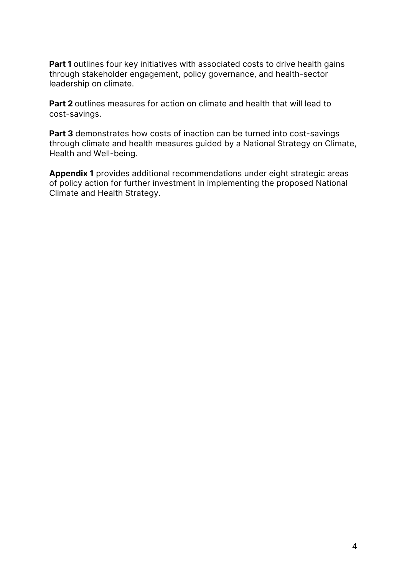**Part 1** outlines four key initiatives with associated costs to drive health gains through stakeholder engagement, policy governance, and health-sector leadership on climate.

**Part 2** outlines measures for action on climate and health that will lead to cost-savings.

**Part 3** demonstrates how costs of inaction can be turned into cost-savings through climate and health measures guided by a National Strategy on Climate, Health and Well-being.

**Appendix 1** provides additional recommendations under eight strategic areas of policy action for further investment in implementing the proposed National Climate and Health Strategy.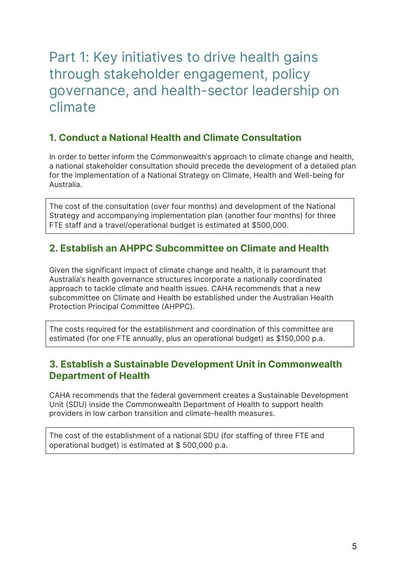## Part 1: Key initiatives to drive health gains through stakeholder engagement, policy governance, and health-sector leadership on climate

### **1. Conduct a National Health and Climate Consultation**

In order to better inform the Commonwealth's approach to climate change and health, a national stakeholder consultation should precede the development of a detailed plan for the implementation of a National Strategy on Climate, Health and Well-being for Australia.

The cost of the consultation (over four months) and development of the National Strategy and accompanying implementation plan (another four months) for three FTE staff and a travel/operational budget is estimated at \$500,000.

### **2. Establish an AHPPC Subcommittee on Climate and Health**

Given the significant impact of climate change and health, it is paramount that Australia's health governance structures incorporate a nationally coordinated approach to tackle climate and health issues. CAHA recommends that a new subcommittee on Climate and Health be established under the Australian Health Protection Principal Committee (AHPPC).

The costs required for the establishment and coordination of this committee are estimated (for one FTE annually, plus an operational budget) as \$150,000 p.a.

### **3. Establish a Sustainable Development Unit in Commonwealth Department of Health**

CAHA recommends that the federal government creates a Sustainable Development Unit (SDU) inside the Commonwealth Department of Health to support health providers in low carbon transition and climate-health measures.

The cost of the establishment of a national SDU (for staffing of three FTE and operational budget) is estimated at \$ 500,000 p.a.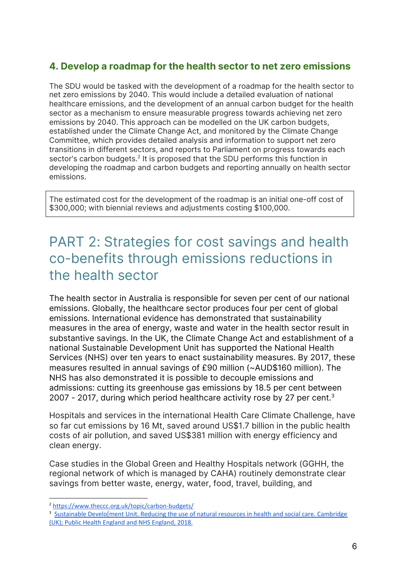### **4. Develop a roadmap for the health sector to net zero emissions**

The SDU would be tasked with the development of a roadmap for the health sector to net zero emissions by 2040. This would include a detailed evaluation of national healthcare emissions, and the development of an annual carbon budget for the health sector as a mechanism to ensure measurable progress towards achieving net zero emissions by 2040. This approach can be modelled on the UK carbon budgets, established under the Climate Change Act, and monitored by the Climate Change Committee, which provides detailed analysis and information to support net zero transitions in different sectors, and reports to Parliament on progress towards each sector's carbon budgets.<sup>2</sup> It is proposed that the SDU performs this function in developing the roadmap and carbon budgets and reporting annually on health sector emissions.

The estimated cost for the development of the roadmap is an initial one-off cost of \$300,000; with biennial reviews and adjustments costing \$100,000.

### PART 2: Strategies for cost savings and health co-benefits through emissions reductions in the health sector

The health sector in Australia is responsible for seven per cent of our national emissions. Globally, the healthcare sector produces four per cent of global emissions. International evidence has demonstrated that sustainability measures in the area of energy, waste and water in the health sector result in substantive savings. In the UK, the Climate Change Act and establishment of a national Sustainable Development Unit has supported the National Health Services (NHS) over ten years to enact sustainability measures. By 2017, these measures resulted in annual savings of £90 million (~AUD\$160 million). The NHS has also demonstrated it is possible to decouple emissions and admissions: cutting its greenhouse gas emissions by 18.5 per cent between 2007 - 2017, during which period healthcare activity rose by 27 per cent.<sup>3</sup>

Hospitals and services in the international Health Care Climate Challenge, have so far cut emissions by 16 Mt, saved around US\$1.7 billion in the public health costs of air pollution, and saved US\$381 million with energy efficiency and clean energy.

Case studies in the Global Green and Healthy Hospitals network (GGHH, the regional network of which is managed by CAHA) routinely demonstrate clear savings from better waste, energy, water, food, travel, building, and

<sup>2</sup> https://www.theccc.org.uk/topic/carbon-budgets/

<sup>&</sup>lt;sup>3</sup> Sustainable Develo[ment Unit. Reducing the use of natural resources in health and social care. Cambridge (UK); Public Health England and NHS England, 2018.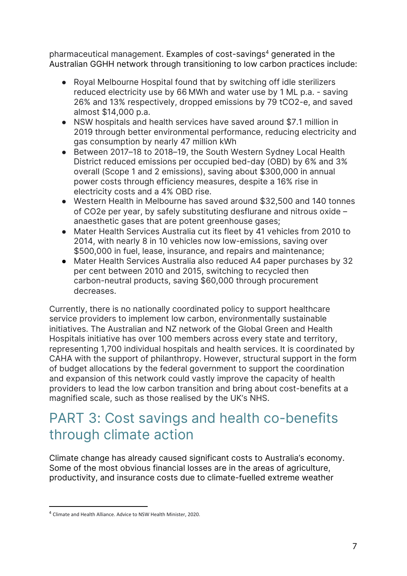pharmaceutical management. Examples of cost-savings<sup>4</sup> generated in the Australian GGHH network through transitioning to low carbon practices include:

- Royal Melbourne Hospital found that by switching off idle sterilizers reduced electricity use by 66 MWh and water use by 1 ML p.a. - saving 26% and 13% respectively, dropped emissions by 79 tCO2-e, and saved almost \$14,000 p.a.
- NSW hospitals and health services have saved around \$7.1 million in 2019 through better environmental performance, reducing electricity and gas consumption by nearly 47 million kWh
- Between 2017–18 to 2018–19, the South Western Sydney Local Health District reduced emissions per occupied bed-day (OBD) by 6% and 3% overall (Scope 1 and 2 emissions), saving about \$300,000 in annual power costs through efficiency measures, despite a 16% rise in electricity costs and a 4% OBD rise.
- Western Health in Melbourne has saved around \$32,500 and 140 tonnes of CO2e per year, by safely substituting desflurane and nitrous oxide – anaesthetic gases that are potent greenhouse gases;
- Mater Health Services Australia cut its fleet by 41 vehicles from 2010 to 2014, with nearly 8 in 10 vehicles now low-emissions, saving over \$500,000 in fuel, lease, insurance, and repairs and maintenance;
- Mater Health Services Australia also reduced A4 paper purchases by 32 per cent between 2010 and 2015, switching to recycled then carbon-neutral products, saving \$60,000 through procurement decreases.

Currently, there is no nationally coordinated policy to support healthcare service providers to implement low carbon, environmentally sustainable initiatives. The Australian and NZ network of the Global Green and Health Hospitals initiative has over 100 members across every state and territory, representing 1,700 individual hospitals and health services. It is coordinated by CAHA with the support of philanthropy. However, structural support in the form of budget allocations by the federal government to support the coordination and expansion of this network could vastly improve the capacity of health providers to lead the low carbon transition and bring about cost-benefits at a magnified scale, such as those realised by the UK's NHS.

## PART 3: Cost savings and health co-benefits through climate action

Climate change has already caused significant costs to Australia's economy. Some of the most obvious financial losses are in the areas of agriculture, productivity, and insurance costs due to climate-fuelled extreme weather

<sup>4</sup> Climate and Health Alliance. Advice to NSW Health Minister, 2020.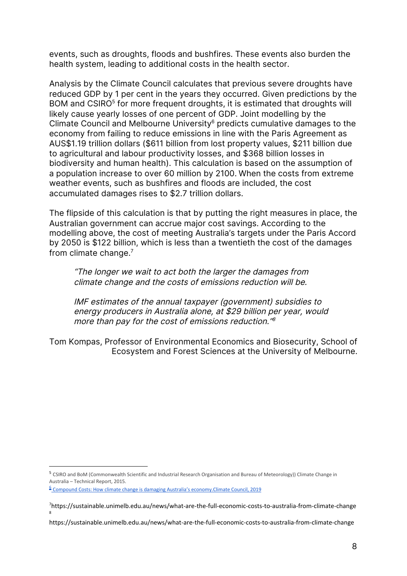events, such as droughts, floods and bushfires. These events also burden the health system, leading to additional costs in the health sector.

Analysis by the Climate Council calculates that previous severe droughts have reduced GDP by 1 per cent in the years they occurred. Given predictions by the BOM and CSIRO<sup>5</sup> for more frequent droughts, it is estimated that droughts will likely cause yearly losses of one percent of GDP. Joint modelling by the Climate Council and Melbourne University $6$  predicts cumulative damages to the economy from failing to reduce emissions in line with the Paris Agreement as AUS\$1.19 trillion dollars (\$611 billion from lost property values, \$211 billion due to agricultural and labour productivity losses, and \$368 billion losses in biodiversity and human health). This calculation is based on the assumption of a population increase to over 60 million by 2100. When the costs from extreme weather events, such as bushfires and floods are included, the cost accumulated damages rises to \$2.7 trillion dollars.

The flipside of this calculation is that by putting the right measures in place, the Australian government can accrue major cost savings. According to the modelling above, the cost of meeting Australia's targets under the Paris Accord by 2050 is \$122 billion, which is less than a twentieth the cost of the damages from climate change. 7

"The longer we wait to act both the larger the damages from climate change and the costs of emissions reduction will be.

IMF estimates of the annual taxpayer (government) subsidies to energy producers in Australia alone, at \$29 billion per year, would more than pay for the cost of emissions reduction." 8

Tom Kompas, Professor of Environmental Economics and Biosecurity, School of Ecosystem and Forest Sciences at the University of Melbourne.

<sup>5</sup> CSIRO and BoM (Commonwealth Scientific and Industrial Research Organisation and Bureau of Meteorology)) Climate Change in Australia – Technical Report, 2015.

<sup>&</sup>lt;sup>6</sup> Compound Costs: How climate change is damaging Australia's economy.Climate Council, 2019

<sup>7</sup> https://sustainable.unimelb.edu.au/news/what-are-the-full-economic-costs-to-australia-from-climate-change 8

https://sustainable.unimelb.edu.au/news/what-are-the-full-economic-costs-to-australia-from-climate-change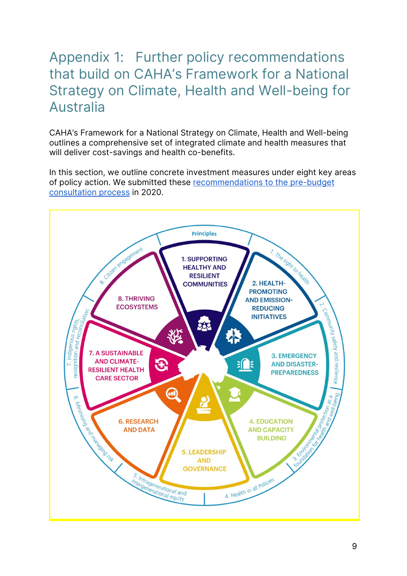## Appendix 1: Further policy recommendations that build on CAHA's Framework for a National Strategy on Climate, Health and Well-being for Australia

CAHA's Framework for a National Strategy on Climate, Health and Well-being outlines a comprehensive set of integrated climate and health measures that will deliver cost-savings and health co-benefits.

In this section, we outline concrete investment measures under eight key areas of policy action. We submitted these recommendations to the pre-budget consultation process in 2020.

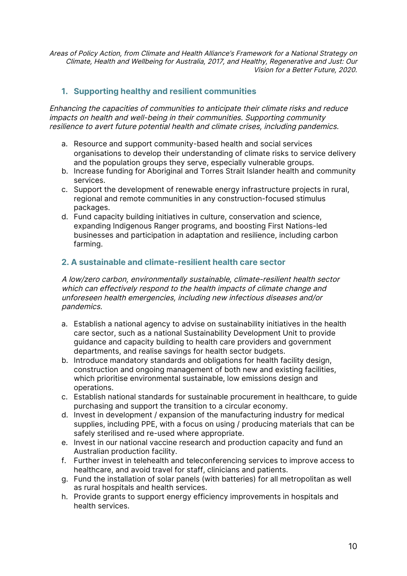Areas of Policy Action, from Climate and Health Alliance's Framework for <sup>a</sup> National Strategy on Climate, Health and Wellbeing for Australia, 2017, and Healthy, Regenerative and Just: Our Vision for <sup>a</sup> Better Future, 2020.

#### **1. Supporting healthy and resilient communities**

Enhancing the capacities of communities to anticipate their climate risks and reduce impacts on health and well-being in their communities. Supporting community resilience to avert future potential health and climate crises, including pandemics.

- a. Resource and support community-based health and social services organisations to develop their understanding of climate risks to service delivery and the population groups they serve, especially vulnerable groups.
- b. Increase funding for Aboriginal and Torres Strait Islander health and community services.
- c. Support the development of renewable energy infrastructure projects in rural, regional and remote communities in any construction-focused stimulus packages.
- d. Fund capacity building initiatives in culture, conservation and science, expanding Indigenous Ranger programs, and boosting First Nations-led businesses and participation in adaptation and resilience, including carbon farming.

#### **2. A sustainable and climate-resilient health care sector**

A low/zero carbon, environmentally sustainable, climate-resilient health sector which can effectively respond to the health impacts of climate change and unforeseen health emergencies, including new infectious diseases and/or pandemics.

- a. Establish a national agency to advise on sustainability initiatives in the health care sector, such as a national Sustainability Development Unit to provide guidance and capacity building to health care providers and government departments, and realise savings for health sector budgets.
- b. Introduce mandatory standards and obligations for health facility design, construction and ongoing management of both new and existing facilities, which prioritise environmental sustainable, low emissions design and operations.
- c. Establish national standards for sustainable procurement in healthcare, to guide purchasing and support the transition to a circular economy.
- d. Invest in development / expansion of the manufacturing industry for medical supplies, including PPE, with a focus on using / producing materials that can be safely sterilised and re-used where appropriate.
- e. Invest in our national vaccine research and production capacity and fund an Australian production facility.
- f. Further invest in telehealth and teleconferencing services to improve access to healthcare, and avoid travel for staff, clinicians and patients.
- g. Fund the installation of solar panels (with batteries) for all metropolitan as well as rural hospitals and health services.
- h. Provide grants to support energy efficiency improvements in hospitals and health services.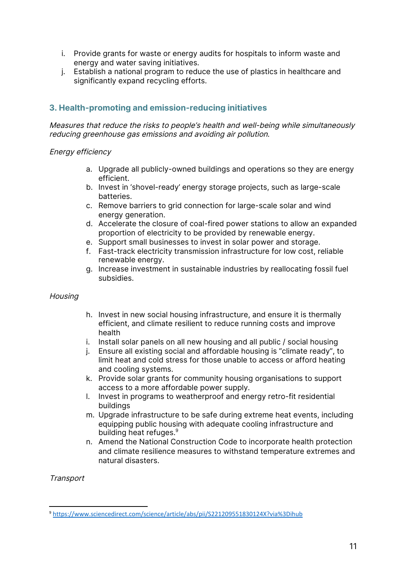- i. Provide grants for waste or energy audits for hospitals to inform waste and energy and water saving initiatives.
- j. Establish a national program to reduce the use of plastics in healthcare and significantly expand recycling efforts.

#### **3. Health-promoting and emission-reducing initiatives**

Measures that reduce the risks to people's health and well-being while simultaneously reducing greenhouse gas emissions and avoiding air pollution.

#### Energy efficiency

- a. Upgrade all publicly-owned buildings and operations so they are energy efficient.
- b. Invest in 'shovel-ready' energy storage projects, such as large-scale batteries.
- c. Remove barriers to grid connection for large-scale solar and wind energy generation.
- d. Accelerate the closure of coal-fired power stations to allow an expanded proportion of electricity to be provided by renewable energy.
- e. Support small businesses to invest in solar power and storage.
- f. Fast-track electricity transmission infrastructure for low cost, reliable renewable energy.
- g. Increase investment in sustainable industries by reallocating fossil fuel subsidies.

#### **Housing**

- h. Invest in new social housing infrastructure, and ensure it is thermally efficient, and climate resilient to reduce running costs and improve health
- i. Install solar panels on all new housing and all public / social housing
- j. Ensure all existing social and affordable housing is "climate ready", to limit heat and cold stress for those unable to access or afford heating and cooling systems.
- k. Provide solar grants for community housing organisations to support access to a more affordable power supply.
- l. Invest in programs to weatherproof and energy retro-fit residential buildings
- m. Upgrade infrastructure to be safe during extreme heat events, including equipping public housing with adequate cooling infrastructure and building heat refuges. 9
- n. Amend the National Construction Code to incorporate health protection and climate resilience measures to withstand temperature extremes and natural disasters.

**Transport** 

<sup>9</sup> https://www.sciencedirect.com/science/article/abs/pii/S221209551830124X?via%3Dihub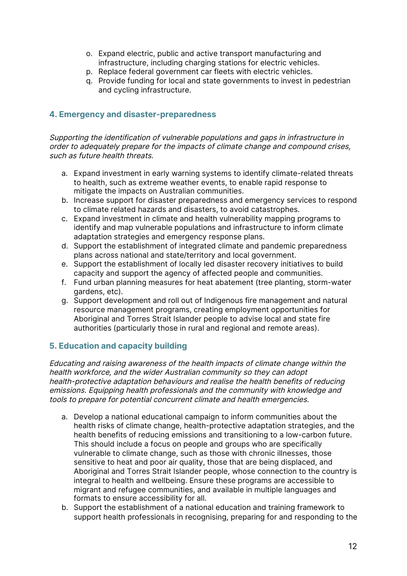- o. Expand electric, public and active transport manufacturing and infrastructure, including charging stations for electric vehicles.
- p. Replace federal government car fleets with electric vehicles.
- q. Provide funding for local and state governments to invest in pedestrian and cycling infrastructure.

#### **4. Emergency and disaster-preparedness**

Supporting the identification of vulnerable populations and gaps in infrastructure in order to adequately prepare for the impacts of climate change and compound crises, such as future health threats.

- a. Expand investment in early warning systems to identify climate-related threats to health, such as extreme weather events, to enable rapid response to mitigate the impacts on Australian communities.
- b. Increase support for disaster preparedness and emergency services to respond to climate related hazards and disasters, to avoid catastrophes.
- c. Expand investment in climate and health vulnerability mapping programs to identify and map vulnerable populations and infrastructure to inform climate adaptation strategies and emergency response plans.
- d. Support the establishment of integrated climate and pandemic preparedness plans across national and state/territory and local government.
- e. Support the establishment of locally led disaster recovery initiatives to build capacity and support the agency of affected people and communities.
- f. Fund urban planning measures for heat abatement (tree planting, storm-water gardens, etc).
- g. Support development and roll out of Indigenous fire management and natural resource management programs, creating employment opportunities for Aboriginal and Torres Strait Islander people to advise local and state fire authorities (particularly those in rural and regional and remote areas).

#### **5. Education and capacity building**

Educating and raising awareness of the health impacts of climate change within the health workforce, and the wider Australian community so they can adopt health-protective adaptation behaviours and realise the health benefits of reducing emissions. Equipping health professionals and the community with knowledge and tools to prepare for potential concurrent climate and health emergencies.

- a. Develop a national educational campaign to inform communities about the health risks of climate change, health-protective adaptation strategies, and the health benefits of reducing emissions and transitioning to a low-carbon future. This should include a focus on people and groups who are specifically vulnerable to climate change, such as those with chronic illnesses, those sensitive to heat and poor air quality, those that are being displaced, and Aboriginal and Torres Strait Islander people, whose connection to the country is integral to health and wellbeing. Ensure these programs are accessible to migrant and refugee communities, and available in multiple languages and formats to ensure accessibility for all.
- b. Support the establishment of a national education and training framework to support health professionals in recognising, preparing for and responding to the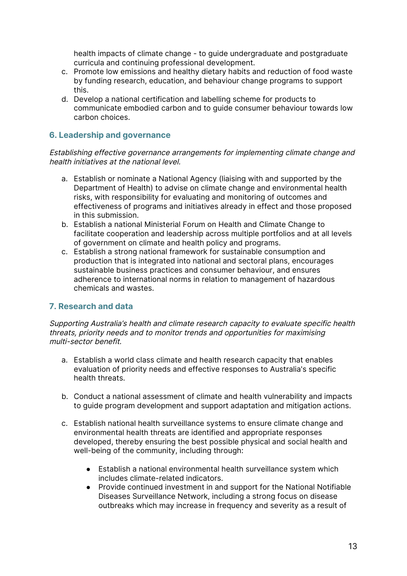health impacts of climate change - to guide undergraduate and postgraduate curricula and continuing professional development.

- c. Promote low emissions and healthy dietary habits and reduction of food waste by funding research, education, and behaviour change programs to support this.
- d. Develop a national certification and labelling scheme for products to communicate embodied carbon and to guide consumer behaviour towards low carbon choices.

#### **6. Leadership and governance**

Establishing effective governance arrangements for implementing climate change and health initiatives at the national level.

- a. Establish or nominate a National Agency (liaising with and supported by the Department of Health) to advise on climate change and environmental health risks, with responsibility for evaluating and monitoring of outcomes and effectiveness of programs and initiatives already in effect and those proposed in this submission.
- b. Establish a national Ministerial Forum on Health and Climate Change to facilitate cooperation and leadership across multiple portfolios and at all levels of government on climate and health policy and programs.
- c. Establish a strong national framework for sustainable consumption and production that is integrated into national and sectoral plans, encourages sustainable business practices and consumer behaviour, and ensures adherence to international norms in relation to management of hazardous chemicals and wastes.

#### **7. Research and data**

Supporting Australia's health and climate research capacity to evaluate specific health threats, priority needs and to monitor trends and opportunities for maximising multi-sector benefit.

- a. Establish a world class climate and health research capacity that enables evaluation of priority needs and effective responses to Australia's specific health threats.
- b. Conduct a national assessment of climate and health vulnerability and impacts to guide program development and support adaptation and mitigation actions.
- c. Establish national health surveillance systems to ensure climate change and environmental health threats are identified and appropriate responses developed, thereby ensuring the best possible physical and social health and well-being of the community, including through:
	- Establish a national environmental health surveillance system which includes climate-related indicators.
	- Provide continued investment in and support for the National Notifiable Diseases Surveillance Network, including a strong focus on disease outbreaks which may increase in frequency and severity as a result of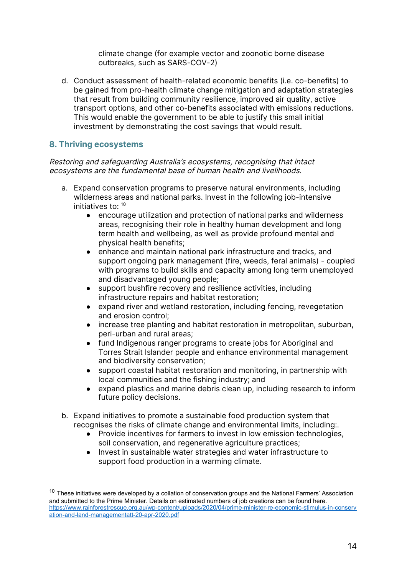climate change (for example vector and zoonotic borne disease outbreaks, such as SARS-COV-2)

d. Conduct assessment of health-related economic benefits (i.e. co-benefits) to be gained from pro-health climate change mitigation and adaptation strategies that result from building community resilience, improved air quality, active transport options, and other co-benefits associated with emissions reductions. This would enable the government to be able to justify this small initial investment by demonstrating the cost savings that would result.

#### **8. Thriving ecosystems**

Restoring and safeguarding Australia's ecosystems, recognising that intact ecosystems are the fundamental base of human health and livelihoods.

- a. Expand conservation programs to preserve natural environments, including wilderness areas and national parks. Invest in the following job-intensive initiatives to: <sup>10</sup>
	- encourage utilization and protection of national parks and wilderness areas, recognising their role in healthy human development and long term health and wellbeing, as well as provide profound mental and physical health benefits;
	- enhance and maintain national park infrastructure and tracks, and support ongoing park management (fire, weeds, feral animals) - coupled with programs to build skills and capacity among long term unemployed and disadvantaged young people;
	- support bushfire recovery and resilience activities, including infrastructure repairs and habitat restoration;
	- expand river and wetland restoration, including fencing, revegetation and erosion control;
	- increase tree planting and habitat restoration in metropolitan, suburban, peri-urban and rural areas;
	- fund Indigenous ranger programs to create jobs for Aboriginal and Torres Strait Islander people and enhance environmental management and biodiversity conservation;
	- support coastal habitat restoration and monitoring, in partnership with local communities and the fishing industry; and
	- expand plastics and marine debris clean up, including research to inform future policy decisions.
- b. Expand initiatives to promote a sustainable food production system that recognises the risks of climate change and environmental limits, including:.
	- Provide incentives for farmers to invest in low emission technologies, soil conservation, and regenerative agriculture practices;
	- Invest in sustainable water strategies and water infrastructure to support food production in a warming climate.

 $10$  These initiatives were developed by a collation of conservation groups and the National Farmers' Association and submitted to the Prime Minister. Details on estimated numbers of job creations can be found here. https://www.rainforestrescue.org.au/wp-content/uploads/2020/04/prime-minister-re-economic-stimulus-in-conserv ation-and-land-managementatt-20-apr-2020.pdf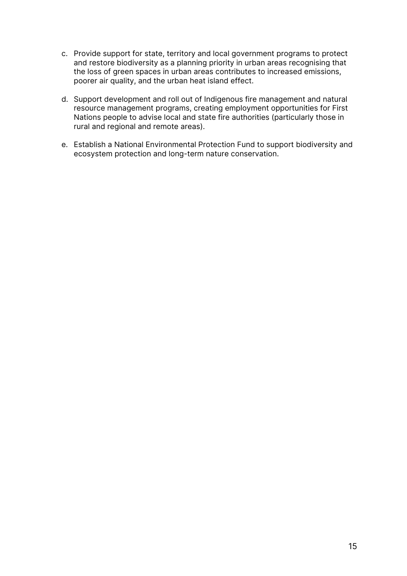- c. Provide support for state, territory and local government programs to protect and restore biodiversity as a planning priority in urban areas recognising that the loss of green spaces in urban areas contributes to increased emissions, poorer air quality, and the urban heat island effect.
- d. Support development and roll out of Indigenous fire management and natural resource management programs, creating employment opportunities for First Nations people to advise local and state fire authorities (particularly those in rural and regional and remote areas).
- e. Establish a National Environmental Protection Fund to support biodiversity and ecosystem protection and long-term nature conservation.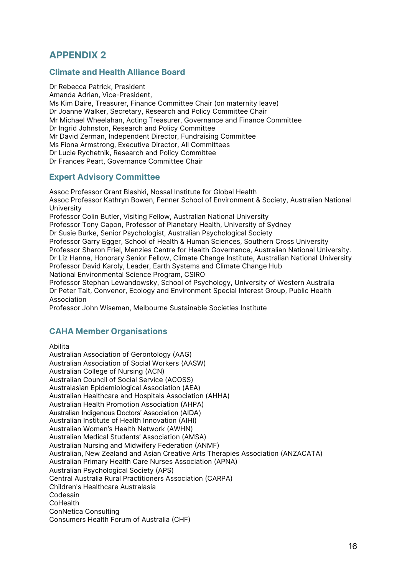### **APPENDIX 2**

#### **Climate and Health Alliance Board**

Dr Rebecca Patrick, President Amanda Adrian, Vice-President, Ms Kim Daire, Treasurer, Finance Committee Chair (on maternity leave) Dr Joanne Walker, Secretary, Research and Policy Committee Chair Mr Michael Wheelahan, Acting Treasurer, Governance and Finance Committee Dr Ingrid Johnston, Research and Policy Committee Mr David Zerman, Independent Director, Fundraising Committee Ms Fiona Armstrong, Executive Director, All Committees Dr Lucie Rychetnik, Research and Policy Committee Dr Frances Peart, Governance Committee Chair

#### **Expert Advisory Committee**

Assoc Professor Grant Blashki, Nossal Institute for Global Health Assoc Professor Kathryn Bowen, Fenner School of Environment & Society, Australian National University Professor Colin Butler, Visiting Fellow, Australian National University Professor Tony Capon, Professor of Planetary Health, University of Sydney Dr Susie Burke, Senior Psychologist, Australian Psychological Society Professor Garry Egger, School of Health & Human Sciences, Southern Cross University Professor Sharon Friel, Menzies Centre for Health Governance, Australian National University. Dr Liz Hanna, Honorary Senior Fellow, Climate Change Institute, Australian National University Professor David Karoly, Leader, Earth Systems and Climate Change Hub National Environmental Science Program, CSIRO Professor Stephan Lewandowsky, School of Psychology, University of Western Australia Dr Peter Tait, Convenor, Ecology and Environment Special Interest Group, Public Health Association

Professor John Wiseman, Melbourne Sustainable Societies Institute

#### **CAHA Member Organisations**

Abilita

Australian Association of Gerontology (AAG) Australian Association of Social Workers (AASW) Australian College of Nursing (ACN) Australian Council of Social Service (ACOSS) Australasian Epidemiological Association (AEA) Australian Healthcare and Hospitals Association (AHHA) Australian Health Promotion Association (AHPA) Australian Indigenous Doctors' Association (AIDA) Australian Institute of Health Innovation (AIHI) Australian Women's Health Network (AWHN) Australian Medical Students' Association (AMSA) Australian Nursing and Midwifery Federation (ANMF) Australian, New Zealand and Asian Creative Arts Therapies Association (ANZACATA) Australian Primary Health Care Nurses Association (APNA) Australian Psychological Society (APS) Central Australia Rural Practitioners Association (CARPA) Children's Healthcare Australasia Codesain **CoHealth** ConNetica Consulting Consumers Health Forum of Australia (CHF)